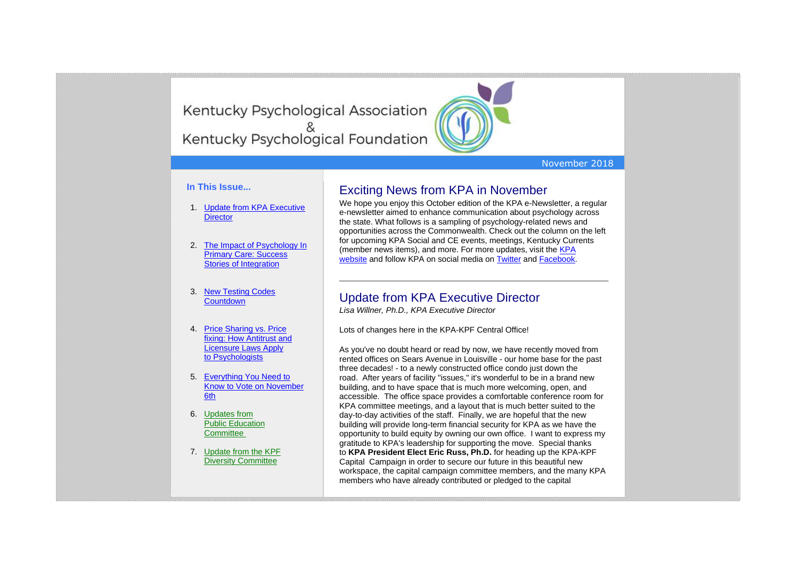Kentucky Psychological Association Kentucky Psychological Foundation



#### November 2018

#### **In This Issue...**

- 1. [Update from KPA Executive](https://kpa.memberclicks.net/administrator/index.php?option=com_mccore&view=contactcenter#ED-update)  **[Director](https://kpa.memberclicks.net/administrator/index.php?option=com_mccore&view=contactcenter#ED-update)**
- 2. [The Impact of Psychology In](https://kpa.memberclicks.net/administrator/index.php?option=com_mccore&view=contactcenter#PsychPrimaryCare)  [Primary Care: Success](https://kpa.memberclicks.net/administrator/index.php?option=com_mccore&view=contactcenter#PsychPrimaryCare)  [Stories of Integration](https://kpa.memberclicks.net/administrator/index.php?option=com_mccore&view=contactcenter#PsychPrimaryCare)
- 3. [New Testing Codes](https://kpa.memberclicks.net/administrator/index.php?option=com_mccore&view=contactcenter#TestCodes)  **[Countdown](https://kpa.memberclicks.net/administrator/index.php?option=com_mccore&view=contactcenter#TestCodes)**
- 4. [Price Sharing vs. Price](https://kpa.memberclicks.net/administrator/index.php?option=com_mccore&view=contactcenter#Antitrust)  [fixing: How Antitrust and](https://kpa.memberclicks.net/administrator/index.php?option=com_mccore&view=contactcenter#Antitrust)  [Licensure Laws Apply](https://kpa.memberclicks.net/administrator/index.php?option=com_mccore&view=contactcenter#Antitrust)  to [Psychologists](https://kpa.memberclicks.net/administrator/index.php?option=com_mccore&view=contactcenter#Antitrust)
- 5. [Everything You Need to](https://kpa.memberclicks.net/administrator/index.php?option=com_mccore&view=contactcenter#SAS)  [Know to Vote on November](https://kpa.memberclicks.net/administrator/index.php?option=com_mccore&view=contactcenter#SAS)  [6th](https://kpa.memberclicks.net/administrator/index.php?option=com_mccore&view=contactcenter#SAS)
- 6. [Updates from](https://kpa.memberclicks.net/administrator/index.php?option=com_mccore&view=contactcenter#PubEd)  Public [Education](https://kpa.memberclicks.net/administrator/index.php?option=com_mccore&view=contactcenter#PubEd)  **[Committee](https://kpa.memberclicks.net/administrator/index.php?option=com_mccore&view=contactcenter#PubEd)**
- 7. [Update from the KPF](https://kpa.memberclicks.net/administrator/index.php?option=com_mccore&view=contactcenter#KPFDiv)  [Diversity Committee](https://kpa.memberclicks.net/administrator/index.php?option=com_mccore&view=contactcenter#KPFDiv)

### Exciting News from KPA in November

We hope you enjoy this October edition of the KPA e-Newsletter, a regular e-newsletter aimed to enhance communication about psychology across the state. What follows is a sampling of psychology-related news and opportunities across the Commonwealth. Check out the column on the left for upcoming KPA Social and CE events, meetings, Kentucky Currents (member news items), and more. For more updates, visit the [KPA](http://www.kpa.org/)  [website](http://www.kpa.org/) and follow KPA on social media on [Twitter](https://twitter.com/KYPsychAssoc) and [Facebook.](https://www.facebook.com/KentuckyPsychAssociation/)

### Update from KPA Executive Director

*Lisa Willner, Ph.D., KPA Executive Director*

Lots of changes here in the KPA-KPF Central Office!

As you've no doubt heard or read by now, we have recently moved from rented offices on Sears Avenue in Louisville - our home base for the past three decades! - to a newly constructed office condo just down the road. After years of facility "issues," it's wonderful to be in a brand new building, and to have space that is much more welcoming, open, and accessible. The office space provides a comfortable conference room for KPA committee meetings, and a layout that is much better suited to the day-to-day activities of the staff. Finally, we are hopeful that the new building will provide long-term financial security for KPA as we have the opportunity to build equity by owning our own office. I want to express my gratitude to KPA's leadership for supporting the move. Special thanks to **KPA President Elect Eric Russ, Ph.D.** for heading up the KPA-KPF Capital Campaign in order to secure our future in this beautiful new workspace, the capital campaign committee members, and the many KPA members who have already contributed or pledged to the capital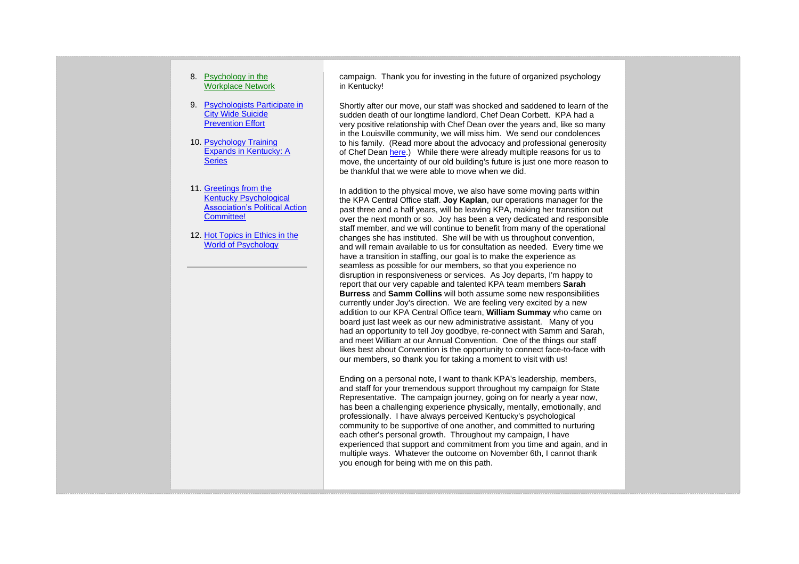#### 8. [Psychology in the](https://kpa.memberclicks.net/administrator/index.php?option=com_mccore&view=contactcenter#PWN)  [Workplace Network](https://kpa.memberclicks.net/administrator/index.php?option=com_mccore&view=contactcenter#PWN)

- 9. [Psychologists Participate in](https://kpa.memberclicks.net/administrator/index.php?option=com_mccore&view=contactcenter#SuicidePrevention)  [City Wide Suicide](https://kpa.memberclicks.net/administrator/index.php?option=com_mccore&view=contactcenter#SuicidePrevention) [Prevention Effort](https://kpa.memberclicks.net/administrator/index.php?option=com_mccore&view=contactcenter#SuicidePrevention)
- 10. [Psychology Training](https://kpa.memberclicks.net/administrator/index.php?option=com_mccore&view=contactcenter#TrainingSeries)  [Expands in Kentucky: A](https://kpa.memberclicks.net/administrator/index.php?option=com_mccore&view=contactcenter#TrainingSeries)  **[Series](https://kpa.memberclicks.net/administrator/index.php?option=com_mccore&view=contactcenter#TrainingSeries)**
- 11. [Greetings from the](https://kpa.memberclicks.net/administrator/index.php?option=com_mccore&view=contactcenter#KPA-PAC)  [Kentucky Psychological](https://kpa.memberclicks.net/administrator/index.php?option=com_mccore&view=contactcenter#KPA-PAC)  [Association's Political Action](https://kpa.memberclicks.net/administrator/index.php?option=com_mccore&view=contactcenter#KPA-PAC)  [Committee!](https://kpa.memberclicks.net/administrator/index.php?option=com_mccore&view=contactcenter#KPA-PAC)
- 12. Hot Topics in Ethics in the [World of Psychology](https://kpa.memberclicks.net/administrator/index.php?option=com_mccore&view=contactcenter#HotTopics)

campaign. Thank you for investing in the future of organized psychology in Kentucky!

Shortly after our move, our staff was shocked and saddened to learn of the sudden death of our longtime landlord, Chef Dean Corbett. KPA had a very positive relationship with Chef Dean over the years and, like so many in the Louisville community, we will miss him. We send our condolences to his family. (Read more about the advocacy and professional generosity of Chef Dean [here.](https://www.courier-journal.com/story/money/louisville-city-living/2018/10/13/dean-corbett-dead-louisville-chef-restaurateur/1632737002/)) While there were already multiple reasons for us to move, the uncertainty of our old building's future is just one more reason to be thankful that we were able to move when we did.

In addition to the physical move, we also have some moving parts within the KPA Central Office staff. **Joy Kaplan**, our operations manager for the past three and a half years, will be leaving KPA, making her transition out over the next month or so. Joy has been a very dedicated and responsible staff member, and we will continue to benefit from many of the operational changes she has instituted. She will be with us throughout convention, and will remain available to us for consultation as needed. Every time we have a transition in staffing, our goal is to make the experience as seamless as possible for our members, so that you experience no disruption in responsiveness or services. As Joy departs, I'm happy to report that our very capable and talented KPA team members **Sarah Burress** and **Samm Collins** will both assume some new responsibilities currently under Joy's direction. We are feeling very excited by a new addition to our KPA Central Office team, **William Summay** who came on board just last week as our new administrative assistant. Many of you had an opportunity to tell Joy goodbye, re-connect with Samm and Sarah, and meet William at our Annual Convention. One of the things our staff likes best about Convention is the opportunity to connect face-to-face with our members, so thank you for taking a moment to visit with us!

Ending on a personal note, I want to thank KPA's leadership, members, and staff for your tremendous support throughout my campaign for State Representative. The campaign journey, going on for nearly a year now, has been a challenging experience physically, mentally, emotionally, and professionally. I have always perceived Kentucky's psychological community to be supportive of one another, and committed to nurturing each other's personal growth. Throughout my campaign, I have experienced that support and commitment from you time and again, and in multiple ways. Whatever the outcome on November 6th, I cannot thank you enough for being with me on this path.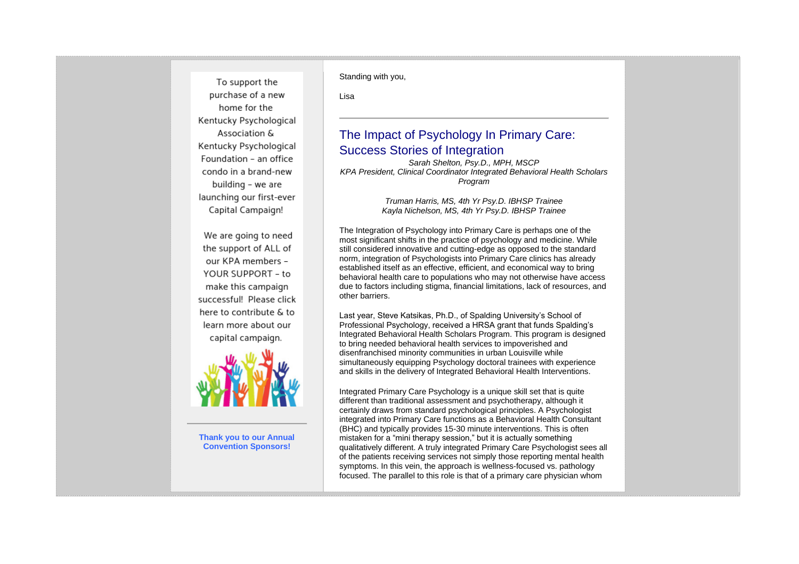To support the purchase of a new home for the Kentucky Psychological Association & Kentucky Psychological Foundation - an office condo in a brand-new building - we are launching our first-ever Capital Campaign!

We are going to need the support of ALL of our KPA members -YOUR SUPPORT - to make this campaign successful! Please click here to contribute & to learn more about our capital campaign.



**Thank you to our Annual Convention Sponsors!**

Standing with you,

Lisa

## The Impact of Psychology In Primary Care: Success Stories of Integration

*Sarah Shelton, Psy.D., MPH, MSCP KPA President, Clinical Coordinator Integrated Behavioral Health Scholars Program*

> *Truman Harris, MS, 4th Yr Psy.D. IBHSP Trainee Kayla Nichelson, MS, 4th Yr Psy.D. IBHSP Trainee*

The Integration of Psychology into Primary Care is perhaps one of the most significant shifts in the practice of psychology and medicine. While still considered innovative and cutting-edge as opposed to the standard norm, integration of Psychologists into Primary Care clinics has already established itself as an effective, efficient, and economical way to bring behavioral health care to populations who may not otherwise have access due to factors including stigma, financial limitations, lack of resources, and other barriers.

Last year, Steve Katsikas, Ph.D., of Spalding University's School of Professional Psychology, received a HRSA grant that funds Spalding's Integrated Behavioral Health Scholars Program. This program is designed to bring needed behavioral health services to impoverished and disenfranchised minority communities in urban Louisville while simultaneously equipping Psychology doctoral trainees with experience and skills in the delivery of Integrated Behavioral Health Interventions.

Integrated Primary Care Psychology is a unique skill set that is quite different than traditional assessment and psychotherapy, although it certainly draws from standard psychological principles. A Psychologist integrated into Primary Care functions as a Behavioral Health Consultant (BHC) and typically provides 15-30 minute interventions. This is often mistaken for a "mini therapy session," but it is actually something qualitatively different. A truly integrated Primary Care Psychologist sees all of the patients receiving services not simply those reporting mental health symptoms. In this vein, the approach is wellness-focused vs. pathology focused. The parallel to this role is that of a primary care physician whom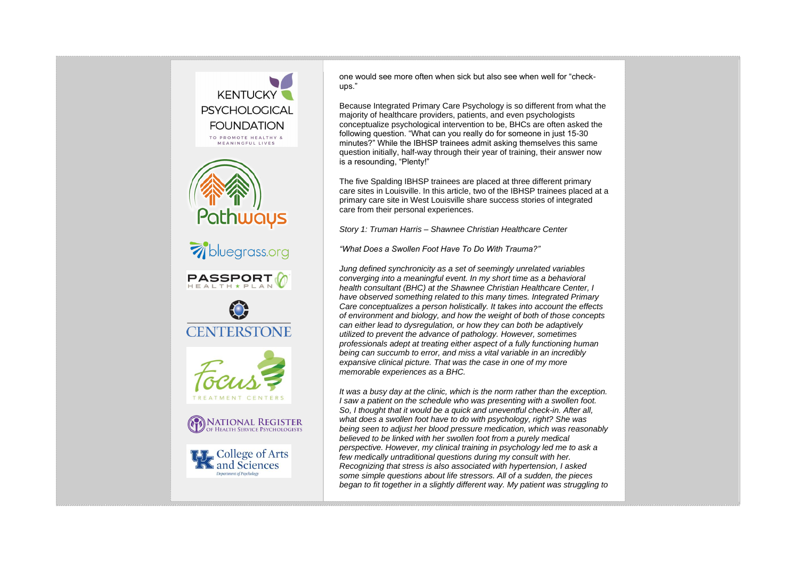

one would see more often when sick but also see when well for "checkups."

Because Integrated Primary Care Psychology is so different from what the majority of healthcare providers, patients, and even psychologists conceptualize psychological intervention to be, BHCs are often asked the following question. "What can you really do for someone in just 15-30 minutes?" While the IBHSP trainees admit asking themselves this same question initially, half-way through their year of training, their answer now is a resounding, "Plenty!"

The five Spalding IBHSP trainees are placed at three different primary care sites in Louisville. In this article, two of the IBHSP trainees placed at a primary care site in West Louisville share success stories of integrated care from their personal experiences.

*Story 1: Truman Harris – Shawnee Christian Healthcare Center*

*"What Does a Swollen Foot Have To Do With Trauma?"*

*Jung defined synchronicity as a set of seemingly unrelated variables converging into a meaningful event. In my short time as a behavioral health consultant (BHC) at the Shawnee Christian Healthcare Center, I have observed something related to this many times. Integrated Primary Care conceptualizes a person holistically. It takes into account the effects of environment and biology, and how the weight of both of those concepts can either lead to dysregulation, or how they can both be adaptively utilized to prevent the advance of pathology. However, sometimes professionals adept at treating either aspect of a fully functioning human being can succumb to error, and miss a vital variable in an incredibly expansive clinical picture. That was the case in one of my more memorable experiences as a BHC.*

*It was a busy day at the clinic, which is the norm rather than the exception. I saw a patient on the schedule who was presenting with a swollen foot. So, I thought that it would be a quick and uneventful check-in. After all, what does a swollen foot have to do with psychology, right? She was being seen to adjust her blood pressure medication, which was reasonably believed to be linked with her swollen foot from a purely medical perspective. However, my clinical training in psychology led me to ask a few medically untraditional questions during my consult with her. Recognizing that stress is also associated with hypertension, I asked some simple questions about life stressors. All of a sudden, the pieces began to fit together in a slightly different way. My patient was struggling to*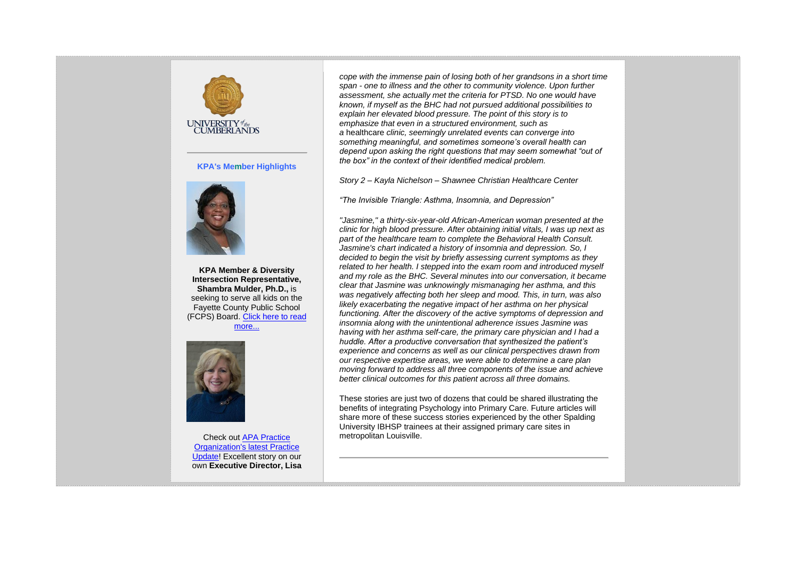

#### **KPA's Member Highlights**



**KPA Member & Diversity Intersection Representative, Shambra Mulder, Ph.D.,** is seeking to serve all kids on the Fayette County Public School (FCPS) Board. [Click here to read](https://www.kpa.org/shambra-mulder)  [more...](https://www.kpa.org/shambra-mulder)



Check out [APA Practice](https://www.apapracticecentral.org/advocacy/state/state-beat/kentucky-psychologist.aspx?fbclid=IwAR3DZvSEOPGisMSGdN1eFxBSaQ53Y7teHsTrHxRByDVR63oN7ovw-NxNT48)  [Organization's latest Practice](https://www.apapracticecentral.org/advocacy/state/state-beat/kentucky-psychologist.aspx?fbclid=IwAR3DZvSEOPGisMSGdN1eFxBSaQ53Y7teHsTrHxRByDVR63oN7ovw-NxNT48)  [Update!](https://www.apapracticecentral.org/advocacy/state/state-beat/kentucky-psychologist.aspx?fbclid=IwAR3DZvSEOPGisMSGdN1eFxBSaQ53Y7teHsTrHxRByDVR63oN7ovw-NxNT48) Excellent story on our own **Executive Director, Lisa** 

*cope with the immense pain of losing both of her grandsons in a short time span - one to illness and the other to community violence. Upon further assessment, she actually met the criteria for PTSD. No one would have known, if myself as the BHC had not pursued additional possibilities to explain her elevated blood pressure. The point of this story is to emphasize that even in a structured environment, such as a* healthcare *clinic, seemingly unrelated events can converge into something meaningful, and sometimes someone's overall health can depend upon asking the right questions that may seem somewhat "out of the box" in the context of their identified medical problem.*

*Story 2 – Kayla Nichelson – Shawnee Christian Healthcare Center*

*"The Invisible Triangle: Asthma, Insomnia, and Depression"*

*"Jasmine," a thirty-six-year-old African-American woman presented at the clinic for high blood pressure. After obtaining initial vitals, I was up next as part of the healthcare team to complete the Behavioral Health Consult. Jasmine's chart indicated a history of insomnia and depression. So, I decided to begin the visit by briefly assessing current symptoms as they related to her health. I stepped into the exam room and introduced myself and my role as the BHC. Several minutes into our conversation, it became clear that Jasmine was unknowingly mismanaging her asthma, and this was negatively affecting both her sleep and mood. This, in turn, was also likely exacerbating the negative impact of her asthma on her physical functioning. After the discovery of the active symptoms of depression and insomnia along with the unintentional adherence issues Jasmine was having with her asthma self-care, the primary care physician and I had a huddle. After a productive conversation that synthesized the patient's experience and concerns as well as our clinical perspectives drawn from our respective expertise areas, we were able to determine a care plan moving forward to address all three components of the issue and achieve better clinical outcomes for this patient across all three domains.*

These stories are just two of dozens that could be shared illustrating the benefits of integrating Psychology into Primary Care. Future articles will share more of these success stories experienced by the other Spalding University IBHSP trainees at their assigned primary care sites in metropolitan Louisville.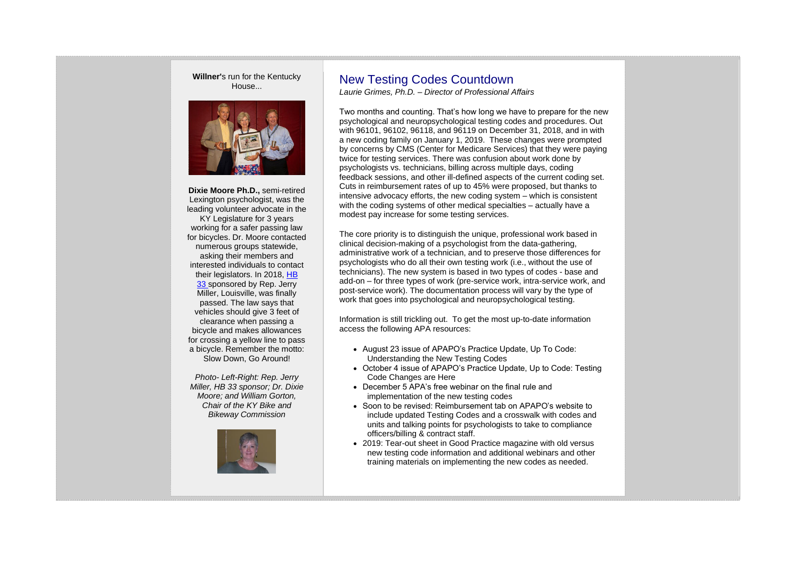**Willner'**s run for the Kentucky House...



**Dixie Moore Ph.D.,** semi-retired Lexington psychologist, was the leading volunteer advocate in the KY Legislature for 3 years working for a safer passing law for bicycles. Dr. Moore contacted numerous groups statewide, asking their members and interested individuals to contact their legislators. In 2018, [HB](http://www.lrc.ky.gov/recorddocuments/bill/18RS/HB33/bill.pdf)  [33](http://www.lrc.ky.gov/recorddocuments/bill/18RS/HB33/bill.pdf) sponsored by Rep. Jerry Miller, Louisville, was finally passed. The law says that vehicles should give 3 feet of clearance when passing a bicycle and makes allowances for crossing a yellow line to pass a bicycle. Remember the motto: Slow Down, Go Around!

*Photo- Left-Right: Rep. Jerry Miller, HB 33 sponsor; Dr. Dixie Moore; and William Gorton, Chair of the KY Bike and Bikeway Commission*



## New Testing Codes Countdown

*Laurie Grimes, Ph.D. – Director of Professional Affairs*

Two months and counting. That's how long we have to prepare for the new psychological and neuropsychological testing codes and procedures. Out with 96101, 96102, 96118, and 96119 on December 31, 2018, and in with a new coding family on January 1, 2019. These changes were prompted by concerns by CMS (Center for Medicare Services) that they were paying twice for testing services. There was confusion about work done by psychologists vs. technicians, billing across multiple days, coding feedback sessions, and other ill-defined aspects of the current coding set. Cuts in reimbursement rates of up to 45% were proposed, but thanks to intensive advocacy efforts, the new coding system – which is consistent with the coding systems of other medical specialties – actually have a modest pay increase for some testing services.

The core priority is to distinguish the unique, professional work based in clinical decision-making of a psychologist from the data-gathering, administrative work of a technician, and to preserve those differences for psychologists who do all their own testing work (i.e., without the use of technicians). The new system is based in two types of codes - base and add-on – for three types of work (pre-service work, intra-service work, and post-service work). The documentation process will vary by the type of work that goes into psychological and neuropsychological testing.

Information is still trickling out. To get the most up-to-date information access the following APA resources:

- August 23 issue of APAPO's Practice Update, Up To Code: Understanding the New Testing Codes
- October 4 issue of APAPO's Practice Update, Up to Code: Testing Code Changes are Here
- December 5 APA's free webinar on the final rule and implementation of the new testing codes
- Soon to be revised: Reimbursement tab on APAPO's website to include updated Testing Codes and a crosswalk with codes and units and talking points for psychologists to take to compliance officers/billing & contract staff.
- 2019: Tear-out sheet in Good Practice magazine with old versus new testing code information and additional webinars and other training materials on implementing the new codes as needed.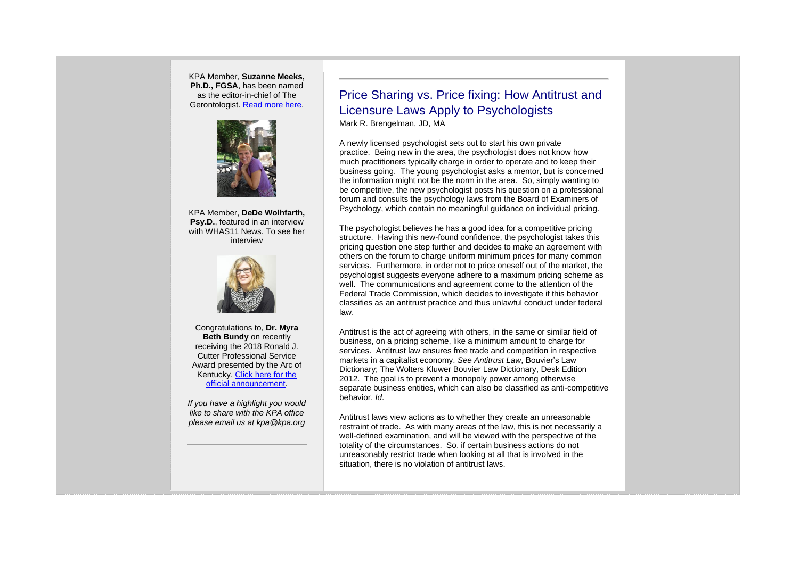KPA Member, **Suzanne Meeks, Ph.D., FGSA**, has been named as the editor-in-chief of The Gerontologist. [Read more here.](https://www.kpa.org/assets/meeks.pdf)



KPA Member, **DeDe Wolhfarth, Psy.D.**, featured in an interview with WHAS11 News. To see her interview



Congratulations to, **Dr. Myra Beth Bundy** on recently receiving the 2018 Ronald J. Cutter Professional Service Award presented by the Arc of Kentucky. [Click here for the](http://stories.eku.edu/people/psychology-professor-honored-service)  [official announcement.](http://stories.eku.edu/people/psychology-professor-honored-service)

*If you have a highlight you would like to share with the KPA office please email us at kpa@kpa.org*

### Price Sharing vs. Price fixing: How Antitrust and Licensure Laws Apply to Psychologists Mark R. Brengelman, JD, MA

A newly licensed psychologist sets out to start his own private practice. Being new in the area, the psychologist does not know how much practitioners typically charge in order to operate and to keep their business going. The young psychologist asks a mentor, but is concerned the information might not be the norm in the area. So, simply wanting to be competitive, the new psychologist posts his question on a professional forum and consults the psychology laws from the Board of Examiners of Psychology, which contain no meaningful guidance on individual pricing.

The psychologist believes he has a good idea for a competitive pricing structure. Having this new-found confidence, the psychologist takes this pricing question one step further and decides to make an agreement with others on the forum to charge uniform minimum prices for many common services. Furthermore, in order not to price oneself out of the market, the psychologist suggests everyone adhere to a maximum pricing scheme as well. The communications and agreement come to the attention of the Federal Trade Commission, which decides to investigate if this behavior classifies as an antitrust practice and thus unlawful conduct under federal law.

Antitrust is the act of agreeing with others, in the same or similar field of business, on a pricing scheme, like a minimum amount to charge for services. Antitrust law ensures free trade and competition in respective markets in a capitalist economy. *See Antitrust Law*, Bouvier's Law Dictionary; The Wolters Kluwer Bouvier Law Dictionary, Desk Edition 2012. The goal is to prevent a monopoly power among otherwise separate business entities, which can also be classified as anti-competitive behavior. *Id*.

Antitrust laws view actions as to whether they create an unreasonable restraint of trade. As with many areas of the law, this is not necessarily a well-defined examination, and will be viewed with the perspective of the totality of the circumstances. So, if certain business actions do not unreasonably restrict trade when looking at all that is involved in the situation, there is no violation of antitrust laws.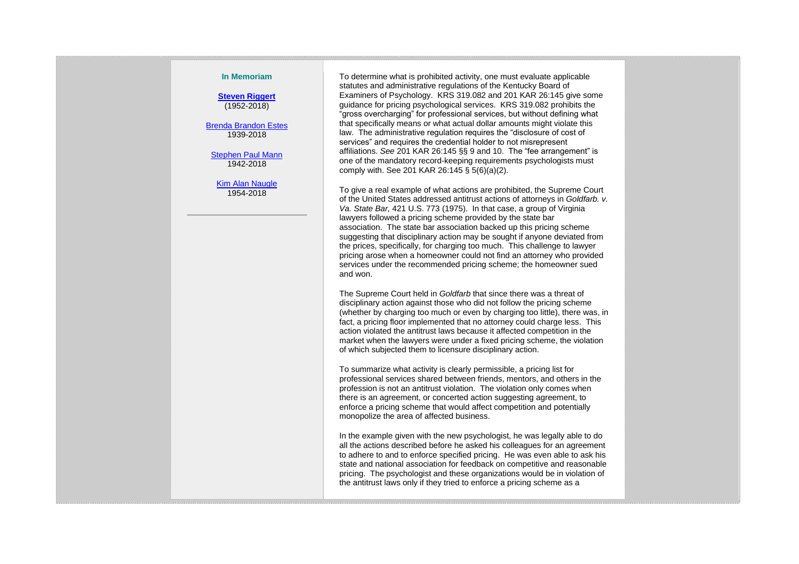#### **In Memoriam**

**[Steven Riggert](https://www.legacy.com/obituaries/name/steven-riggert-obituary?pid=190463982)** (1952-2018)

[Brenda Brandon Estes](http://thejhchurchillfuneralhome.tributes.com/obituary/show/Brenda-Brandon-Estes-106168695) 1939-2018

[Stephen Paul Mann](https://www.legacy.com/obituaries/louisville/obituary.aspx?n=paul-stephen-mann&pid=189348724&fhid=4753) 1942-2018

[Kim Alan Naugle](https://www.clarklegacycenter.com/obituaries/obituary-listings?obId=3119126) 1954-2018

To determine what is prohibited activity, one must evaluate applicable statutes and administrative regulations of the Kentucky Board of Examiners of Psychology. KRS 319.082 and 201 KAR 26:145 give some guidance for pricing psychological services. KRS 319.082 prohibits the "gross overcharging" for professional services, but without defining what that specifically means or what actual dollar amounts might violate this law. The administrative regulation requires the "disclosure of cost of services" and requires the credential holder to not misrepresent affiliations. *See* 201 KAR 26:145 §§ 9 and 10. The "fee arrangement" is one of the mandatory record-keeping requirements psychologists must comply with. See 201 KAR 26:145 § 5(6)(a)(2).

To give a real example of what actions are prohibited, the Supreme Court of the United States addressed antitrust actions of attorneys in *Goldfarb. v. Va. State Bar,* 421 U.S. 773 (1975). In that case, a group of Virginia lawyers followed a pricing scheme provided by the state bar association. The state bar association backed up this pricing scheme suggesting that disciplinary action may be sought if anyone deviated from the prices, specifically, for charging too much. This challenge to lawyer pricing arose when a homeowner could not find an attorney who provided services under the recommended pricing scheme; the homeowner sued and won.

The Supreme Court held in *Goldfarb* that since there was a threat of disciplinary action against those who did not follow the pricing scheme (whether by charging too much or even by charging too little), there was, in fact, a pricing floor implemented that no attorney could charge less. This action violated the antitrust laws because it affected competition in the market when the lawyers were under a fixed pricing scheme, the violation of which subjected them to licensure disciplinary action.

To summarize what activity is clearly permissible, a pricing list for professional services shared between friends, mentors, and others in the profession is not an antitrust violation. The violation only comes when there is an agreement, or concerted action suggesting agreement, to enforce a pricing scheme that would affect competition and potentially monopolize the area of affected business.

In the example given with the new psychologist, he was legally able to do all the actions described before he asked his colleagues for an agreement to adhere to and to enforce specified pricing. He was even able to ask his state and national association for feedback on competitive and reasonable pricing. The psychologist and these organizations would be in violation of the antitrust laws only if they tried to enforce a pricing scheme as a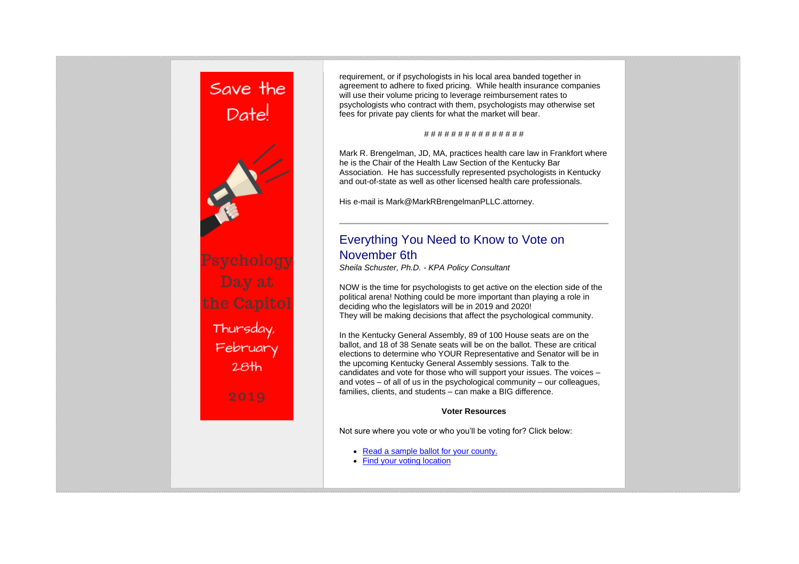

requirement, or if psychologists in his local area banded together in agreement to adhere to fixed pricing. While health insurance companies will use their volume pricing to leverage reimbursement rates to psychologists who contract with them, psychologists may otherwise set fees for private pay clients for what the market will bear.

#### # # # # # # # # # # # # # # #

Mark R. Brengelman, JD, MA, practices health care law in Frankfort where he is the Chair of the Health Law Section of the Kentucky Bar Association. He has successfully represented psychologists in Kentucky and out-of-state as well as other licensed health care professionals.

His e-mail is Mark@MarkRBrengelmanPLLC.attorney.

# Everything You Need to Know to Vote on November 6th

*Sheila Schuster, Ph.D. - KPA Policy Consultant*

NOW is the time for psychologists to get active on the election side of the political arena! Nothing could be more important than playing a role in deciding who the legislators will be in 2019 and 2020! They will be making decisions that affect the psychological community.

In the Kentucky General Assembly, 89 of 100 House seats are on the ballot, and 18 of 38 Senate seats will be on the ballot. These are critical elections to determine who YOUR Representative and Senator will be in the upcoming Kentucky General Assembly sessions. Talk to the candidates and vote for those who will support your issues. The voices – and votes – of all of us in the psychological community – our colleagues, families, clients, and students – can make a BIG difference.

#### **Voter Resources**

Not sure where you vote or who you'll be voting for? Click below:

- [Read a sample ballot for your county.](http://apps.sos.ky.gov/electionballots/)
- [Find your voting location](https://vrsws.sos.ky.gov/vic/)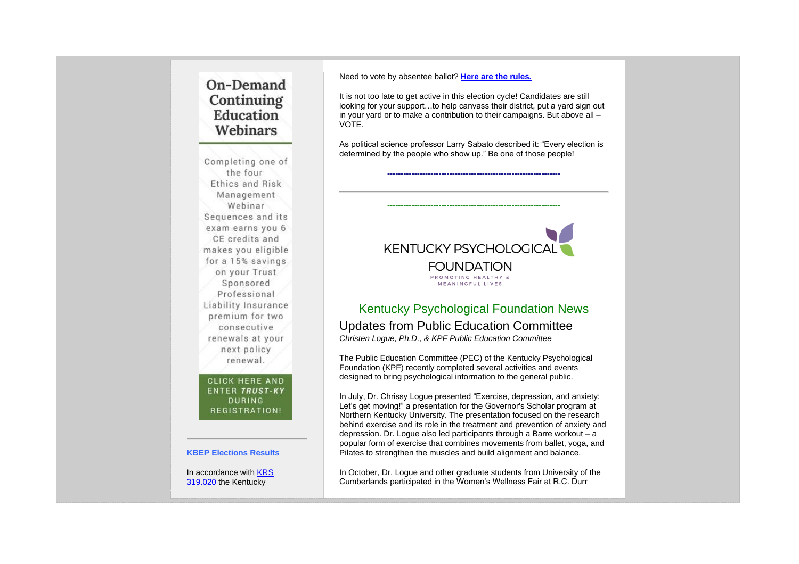# On-Demand Continuing Education Webinars

Completing one of the four Ethics and Risk Management Webinar Sequences and its exam earns you 6 CE credits and makes you eligible for a 15% savings on your Trust Sponsored Professional Liability Insurance premium for two consecutive renewals at your next policy renewal.

#### CLICK HERE AND **ENTER TRUST-KY DURING** REGISTRATION!

#### **KBEP Elections Results**

In accordance with [KRS](http://www.lrc.ky.gov/Statutes/statute.aspx?id=31222)  [319.020](http://www.lrc.ky.gov/Statutes/statute.aspx?id=31222) the Kentucky

Need to vote by absentee ballot? **[Here are the rules.](https://elect.ky.gov/Frequently-Asked-Questions/Pages/Absentee-Voting.aspx)**

It is not too late to get active in this election cycle! Candidates are still looking for your support…to help canvass their district, put a yard sign out in your yard or to make a contribution to their campaigns. But above all – VOTE.

As political science professor Larry Sabato described it: "Every election is determined by the people who show up." Be one of those people!

**----------------------------------------------------------------**

**----------------------------------------------------------------**



### Kentucky Psychological Foundation News Updates from Public Education Committee *Christen Logue, Ph.D., & KPF Public Education Committee*

The Public Education Committee (PEC) of the Kentucky Psychological Foundation (KPF) recently completed several activities and events designed to bring psychological information to the general public.

In July, Dr. Chrissy Logue presented "Exercise, depression, and anxiety: Let's get moving!" a presentation for the Governor's Scholar program at Northern Kentucky University. The presentation focused on the research behind exercise and its role in the treatment and prevention of anxiety and depression. Dr. Logue also led participants through a Barre workout – a popular form of exercise that combines movements from ballet, yoga, and Pilates to strengthen the muscles and build alignment and balance.

In October, Dr. Logue and other graduate students from University of the Cumberlands participated in the Women's Wellness Fair at R.C. Durr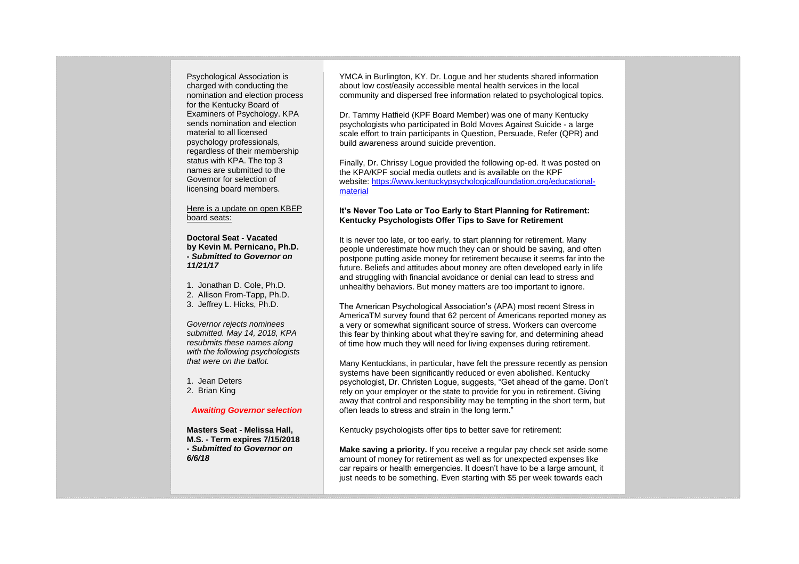Psychological Association is charged with conducting the nomination and election process for the Kentucky Board of Examiners of Psychology. KPA sends nomination and election material to all licensed psychology professionals, regardless of their membership status with KPA. The top 3 names are submitted to the Governor for selection of licensing board members.

Here is a update on open KBEP board seats:

**Doctoral Seat - Vacated by Kevin M. Pernicano, Ph.D. -** *Submitted to Governor on 11/21/17*

1. Jonathan D. Cole, Ph.D. 2. Allison From-Tapp, Ph.D. 3. Jeffrey L. Hicks, Ph.D.

*Governor rejects nominees submitted. May 14, 2018, KPA resubmits these names along with the following psychologists that were on the ballot.*

1. Jean Deters 2. Brian King

#### *Awaiting Governor selection*

**Masters Seat - Melissa Hall, M.S. - Term expires 7/15/2018 -** *Submitted to Governor on 6/6/18*

YMCA in Burlington, KY. Dr. Logue and her students shared information about low cost/easily accessible mental health services in the local community and dispersed free information related to psychological topics.

Dr. Tammy Hatfield (KPF Board Member) was one of many Kentucky psychologists who participated in Bold Moves Against Suicide - a large scale effort to train participants in Question, Persuade, Refer (QPR) and build awareness around suicide prevention.

Finally, Dr. Chrissy Logue provided the following op-ed. It was posted on the KPA/KPF social media outlets and is available on the KPF website: [https://www.kentuckypsychologicalfoundation.org/educational](https://www.kentuckypsychologicalfoundation.org/educational-material)[material](https://www.kentuckypsychologicalfoundation.org/educational-material)

#### **It's Never Too Late or Too Early to Start Planning for Retirement: Kentucky Psychologists Offer Tips to Save for Retirement**

It is never too late, or too early, to start planning for retirement. Many people underestimate how much they can or should be saving, and often postpone putting aside money for retirement because it seems far into the future. Beliefs and attitudes about money are often developed early in life and struggling with financial avoidance or denial can lead to stress and unhealthy behaviors. But money matters are too important to ignore.

The American Psychological Association's (APA) most recent Stress in AmericaTM survey found that 62 percent of Americans reported money as a very or somewhat significant source of stress. Workers can overcome this fear by thinking about what they're saving for, and determining ahead of time how much they will need for living expenses during retirement.

Many Kentuckians, in particular, have felt the pressure recently as pension systems have been significantly reduced or even abolished. Kentucky psychologist, Dr. Christen Logue, suggests, "Get ahead of the game. Don't rely on your employer or the state to provide for you in retirement. Giving away that control and responsibility may be tempting in the short term, but often leads to stress and strain in the long term."

Kentucky psychologists offer tips to better save for retirement:

**Make saving a priority.** If you receive a regular pay check set aside some amount of money for retirement as well as for unexpected expenses like car repairs or health emergencies. It doesn't have to be a large amount, it just needs to be something. Even starting with \$5 per week towards each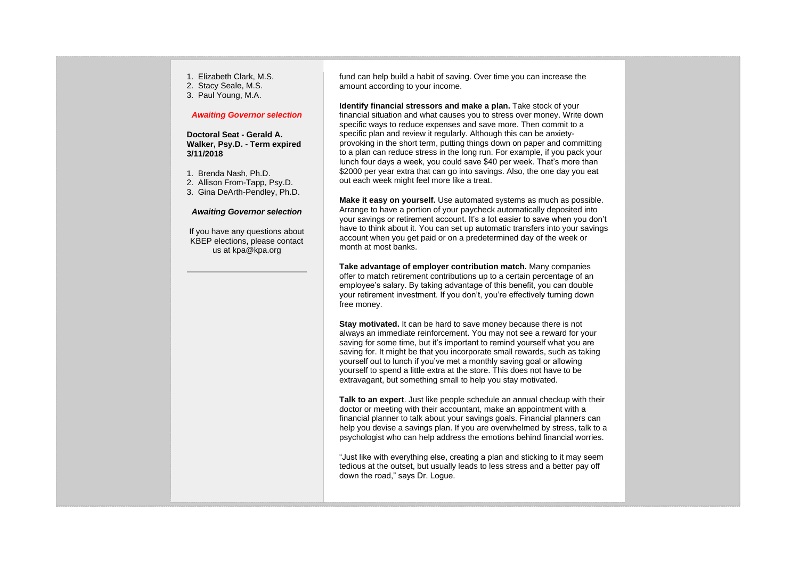- 1. Elizabeth Clark, M.S.
- 2. Stacy Seale, M.S.
- 3. Paul Young, M.A.

#### *Awaiting Governor selection*

**Doctoral Seat - Gerald A. Walker, Psy.D. - Term expired 3/11/2018**

- 1. Brenda Nash, Ph.D.
- 2. Allison From-Tapp, Psy.D.
- 3. Gina DeArth-Pendley, Ph.D.

#### *Awaiting Governor selection*

If you have any questions about KBEP elections, please contact us at kpa@kpa.org

fund can help build a habit of saving. Over time you can increase the amount according to your income.

**Identify financial stressors and make a plan.** Take stock of your financial situation and what causes you to stress over money. Write down specific ways to reduce expenses and save more. Then commit to a specific plan and review it regularly. Although this can be anxietyprovoking in the short term, putting things down on paper and committing to a plan can reduce stress in the long run. For example, if you pack your lunch four days a week, you could save \$40 per week. That's more than \$2000 per year extra that can go into savings. Also, the one day you eat out each week might feel more like a treat.

**Make it easy on yourself.** Use automated systems as much as possible. Arrange to have a portion of your paycheck automatically deposited into your savings or retirement account. It's a lot easier to save when you don't have to think about it. You can set up automatic transfers into your savings account when you get paid or on a predetermined day of the week or month at most banks.

**Take advantage of employer contribution match.** Many companies offer to match retirement contributions up to a certain percentage of an employee's salary. By taking advantage of this benefit, you can double your retirement investment. If you don't, you're effectively turning down free money.

**Stay motivated.** It can be hard to save money because there is not always an immediate reinforcement. You may not see a reward for your saving for some time, but it's important to remind yourself what you are saving for. It might be that you incorporate small rewards, such as taking yourself out to lunch if you've met a monthly saving goal or allowing yourself to spend a little extra at the store. This does not have to be extravagant, but something small to help you stay motivated.

**Talk to an expert**. Just like people schedule an annual checkup with their doctor or meeting with their accountant, make an appointment with a financial planner to talk about your savings goals. Financial planners can help you devise a savings plan. If you are overwhelmed by stress, talk to a psychologist who can help address the emotions behind financial worries.

"Just like with everything else, creating a plan and sticking to it may seem tedious at the outset, but usually leads to less stress and a better pay off down the road," says Dr. Logue.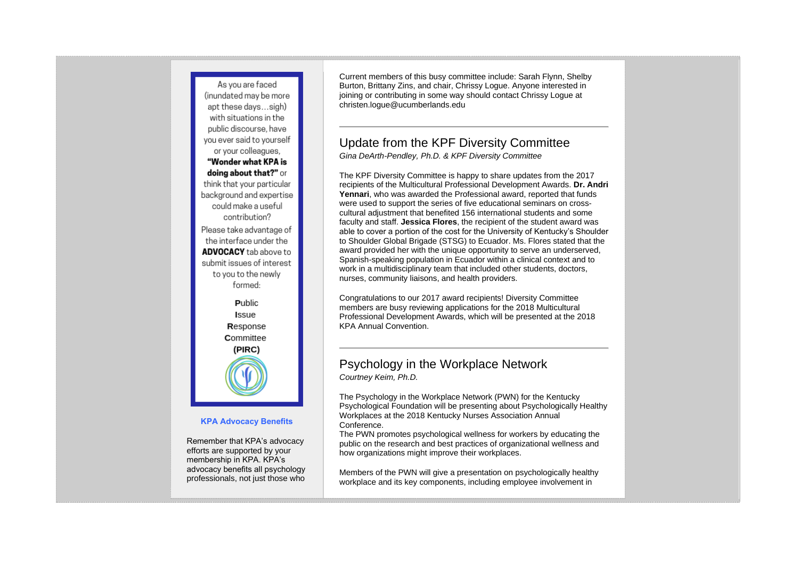

#### **KPA Advocacy Benefits**

Remember that KPA's advocacy efforts are supported by your membership in KPA. KPA's advocacy benefits all psychology professionals, not just those who Current members of this busy committee include: Sarah Flynn, Shelby Burton, Brittany Zins, and chair, Chrissy Logue. Anyone interested in joining or contributing in some way should contact Chrissy Logue at christen.logue@ucumberlands.edu

## Update from the KPF Diversity Committee

*Gina DeArth-Pendley, Ph.D. & KPF Diversity Committee*

The KPF Diversity Committee is happy to share updates from the 2017 recipients of the Multicultural Professional Development Awards. **Dr. Andri Yennari**, who was awarded the Professional award, reported that funds were used to support the series of five educational seminars on crosscultural adjustment that benefited 156 international students and some faculty and staff. **Jessica Flores**, the recipient of the student award was able to cover a portion of the cost for the University of Kentucky's Shoulder to Shoulder Global Brigade (STSG) to Ecuador. Ms. Flores stated that the award provided her with the unique opportunity to serve an underserved, Spanish-speaking population in Ecuador within a clinical context and to work in a multidisciplinary team that included other students, doctors, nurses, community liaisons, and health providers.

Congratulations to our 2017 award recipients! Diversity Committee members are busy reviewing applications for the 2018 Multicultural Professional Development Awards, which will be presented at the 2018 KPA Annual Convention.

### Psychology in the Workplace Network *Courtney Keim, Ph.D.*

The Psychology in the Workplace Network (PWN) for the Kentucky Psychological Foundation will be presenting about Psychologically Healthy Workplaces at the 2018 Kentucky Nurses Association Annual Conference.

The PWN promotes psychological wellness for workers by educating the public on the research and best practices of organizational wellness and how organizations might improve their workplaces.

Members of the PWN will give a presentation on psychologically healthy workplace and its key components, including employee involvement in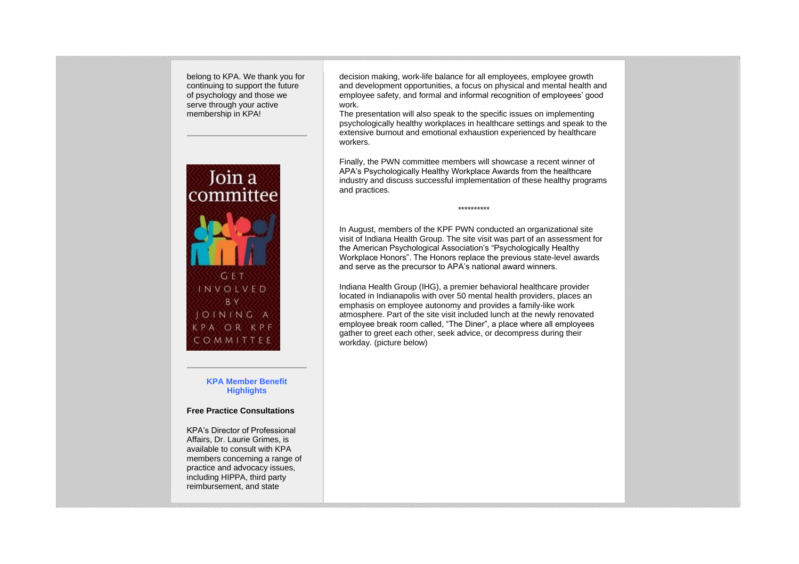belong to KPA. We thank you for continuing to support the future of psychology and those we serve through your active membership in KPA!



**KPA Member Benefit Highlights**

#### **Free Practice Consultations**

KPA's Director of Professional Affairs, Dr. Laurie Grimes, is available to consult with KPA members concerning a range of practice and advocacy issues, including HIPPA, third party reimbursement, and state

decision making, work-life balance for all employees, employee growth and development opportunities, a focus on physical and mental health and employee safety, and formal and informal recognition of employees' good work.

The presentation will also speak to the specific issues on implementing psychologically healthy workplaces in healthcare settings and speak to the extensive burnout and emotional exhaustion experienced by healthcare workers.

Finally, the PWN committee members will showcase a recent winner of APA's Psychologically Healthy Workplace Awards from the healthcare industry and discuss successful implementation of these healthy programs and practices.

\*\*\*\*\*\*\*\*\*\*

In August, members of the KPF PWN conducted an organizational site visit of Indiana Health Group. The site visit was part of an assessment for the American Psychological Association's "Psychologically Healthy Workplace Honors". The Honors replace the previous state-level awards and serve as the precursor to APA's national award winners.

Indiana Health Group (IHG), a premier behavioral healthcare provider located in Indianapolis with over 50 mental health providers, places an emphasis on employee autonomy and provides a family-like work atmosphere. Part of the site visit included lunch at the newly renovated employee break room called, "The Diner", a place where all employees gather to greet each other, seek advice, or decompress during their workday. (picture below)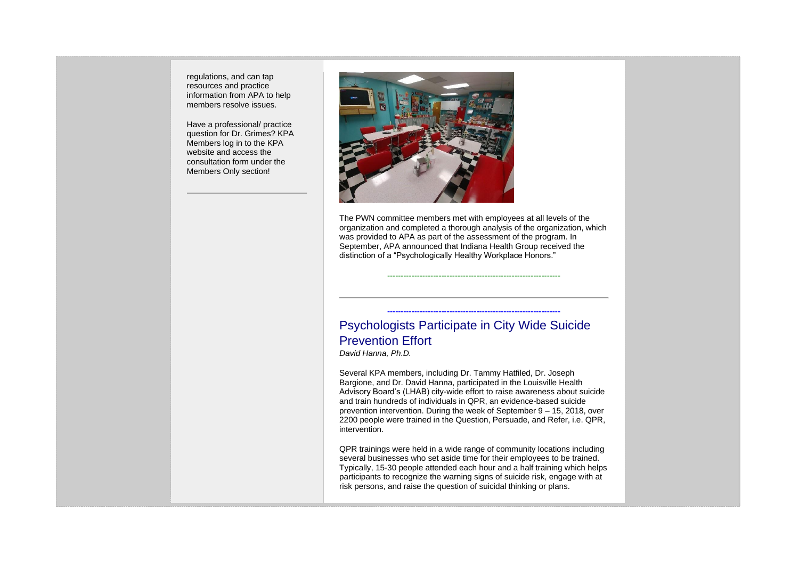regulations, and can tap resources and practice information from APA to help members resolve issues.

Have a professional/ practice question for Dr. Grimes? KPA Members log in to the KPA website and access the consultation form under the Members Only section!



The PWN committee members met with employees at all levels of the organization and completed a thorough analysis of the organization, which was provided to APA as part of the assessment of the program. In September, APA announced that Indiana Health Group received the distinction of a "Psychologically Healthy Workplace Honors."

----------------------------------------------------------------

**----------------------------------------------------------------**

# Psychologists Participate in City Wide Suicide Prevention Effort

*David Hanna, Ph.D.*

Several KPA members, including Dr. Tammy Hatfiled, Dr. Joseph Bargione, and Dr. David Hanna, participated in the Louisville Health Advisory Board's (LHAB) city-wide effort to raise awareness about suicide and train hundreds of individuals in QPR, an evidence-based suicide prevention intervention. During the week of September 9 – 15, 2018, over 2200 people were trained in the Question, Persuade, and Refer, i.e. QPR, intervention.

QPR trainings were held in a wide range of community locations including several businesses who set aside time for their employees to be trained. Typically, 15-30 people attended each hour and a half training which helps participants to recognize the warning signs of suicide risk, engage with at risk persons, and raise the question of suicidal thinking or plans.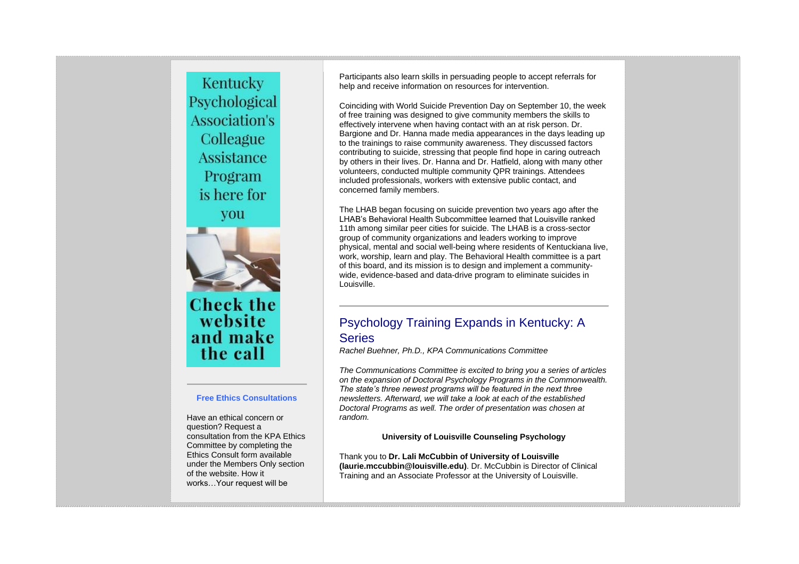Kentucky Psychological **Association's** Colleague Assistance Program is here for you



**Check the** website and make the call

#### **Free Ethics Consultations**

Have an ethical concern or question? Request a consultation from the KPA Ethics Committee by completing the Ethics Consult form available under the Members Only section of the website. How it works…Your request will be

Participants also learn skills in persuading people to accept referrals for help and receive information on resources for intervention.

Coinciding with World Suicide Prevention Day on September 10, the week of free training was designed to give community members the skills to effectively intervene when having contact with an at risk person. Dr. Bargione and Dr. Hanna made media appearances in the days leading up to the trainings to raise community awareness. They discussed factors contributing to suicide, stressing that people find hope in caring outreach by others in their lives. Dr. Hanna and Dr. Hatfield, along with many other volunteers, conducted multiple community QPR trainings. Attendees included professionals, workers with extensive public contact, and concerned family members.

The LHAB began focusing on suicide prevention two years ago after the LHAB's Behavioral Health Subcommittee learned that Louisville ranked 11th among similar peer cities for suicide. The LHAB is a cross-sector group of community organizations and leaders working to improve physical, mental and social well-being where residents of Kentuckiana live, work, worship, learn and play. The Behavioral Health committee is a part of this board, and its mission is to design and implement a communitywide, evidence-based and data-drive program to eliminate suicides in Louisville.

### Psychology Training Expands in Kentucky: A **Series**

*Rachel Buehner, Ph.D., KPA Communications Committee*

*The Communications Committee is excited to bring you a series of articles on the expansion of Doctoral Psychology Programs in the Commonwealth. The state's three newest programs will be featured in the next three newsletters. Afterward, we will take a look at each of the established Doctoral Programs as well. The order of presentation was chosen at random.*

**University of Louisville Counseling Psychology**

Thank you to **Dr. Lali McCubbin of University of Louisville (laurie.mccubbin@louisville.edu)**. Dr. McCubbin is Director of Clinical Training and an Associate Professor at the University of Louisville.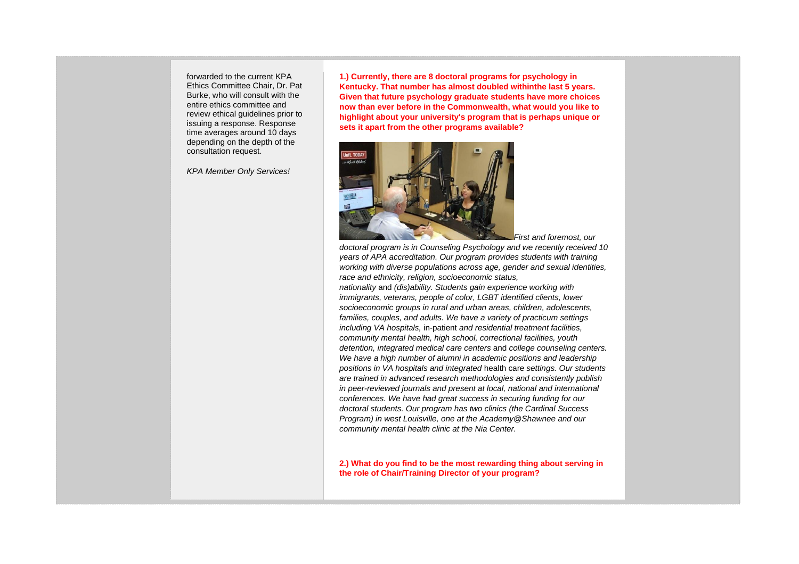forwarded to the current KPA Ethics Committee Chair, Dr. Pat Burke, who will consult with the entire ethics committee and review ethical guidelines prior to issuing a response. Response time averages around 10 days depending on the depth of the consultation request.

*KPA Member Only Services!*

**1.) Currently, there are 8 doctoral programs for psychology in Kentucky. That number has almost doubled withinthe last 5 years. Given that future psychology graduate students have more choices now than ever before in the Commonwealth, what would you like to highlight about your university's program that is perhaps unique or sets it apart from the other programs available?**



*First and foremost, our* 

*doctoral program is in Counseling Psychology and we recently received 10 years of APA accreditation. Our program provides students with training working with diverse populations across age, gender and sexual identities, race and ethnicity, religion, socioeconomic status,* 

*nationality* and *(dis)ability. Students gain experience working with immigrants, veterans, people of color, LGBT identified clients, lower socioeconomic groups in rural and urban areas, children, adolescents, families, couples, and adults. We have a variety of practicum settings including VA hospitals,* in-patient *and residential treatment facilities, community mental health, high school, correctional facilities, youth detention, integrated medical care centers* and *college counseling centers. We have a high number of alumni in academic positions and leadership positions in VA hospitals and integrated* health care *settings. Our students are trained in advanced research methodologies and consistently publish in peer-reviewed journals and present at local, national and international conferences. We have had great success in securing funding for our doctoral students. Our program has two clinics (the Cardinal Success Program) in west Louisville, one at the Academy@Shawnee and our community mental health clinic at the Nia Center.*

**2.) What do you find to be the most rewarding thing about serving in the role of Chair/Training Director of your program?**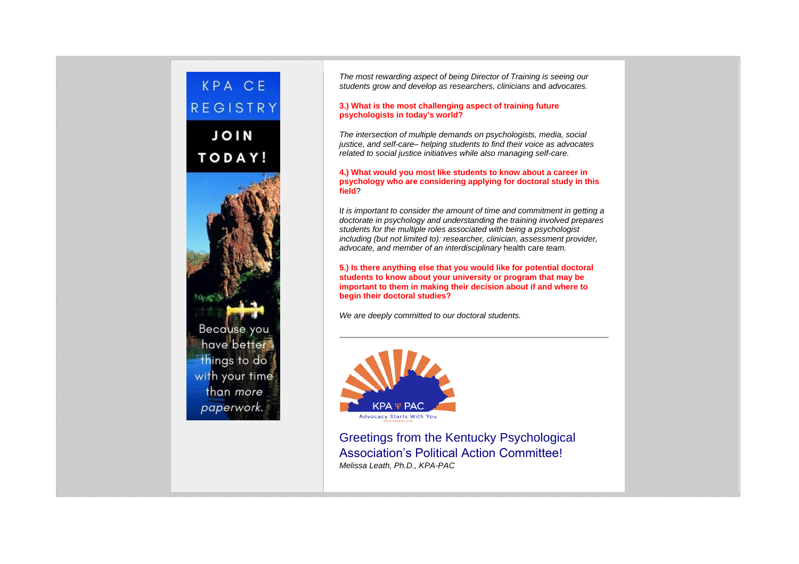

*The most rewarding aspect of being Director of Training is seeing our students grow and develop as researchers, clinicians* and *advocates.*

#### **3.) What is the most challenging aspect of training future psychologists in today's world?**

*The intersection of multiple demands on psychologists, media, social justice, and self-care– helping students to find their voice as advocates related to social justice initiatives while also managing self-care.*

#### **4.) What would you most like students to know about a career in psychology who are considering applying for doctoral study in this field**?

I*t is important to consider the amount of time and commitment in getting a doctorate in psychology and understanding the training involved prepares students for the multiple roles associated with being a psychologist including (but not limited to): researcher, clinician, assessment provider, advocate, and member of an interdisciplinary* health care *team.*

**5.) Is there anything else that you would like for potential doctoral students to know about your university or program that may be important to them in making their decision about if and where to begin their doctoral studies?**

*We are deeply committed to our doctoral students.*



Greetings from the Kentucky Psychological Association's Political Action Committee! *Melissa Leath, Ph.D., KPA-PAC*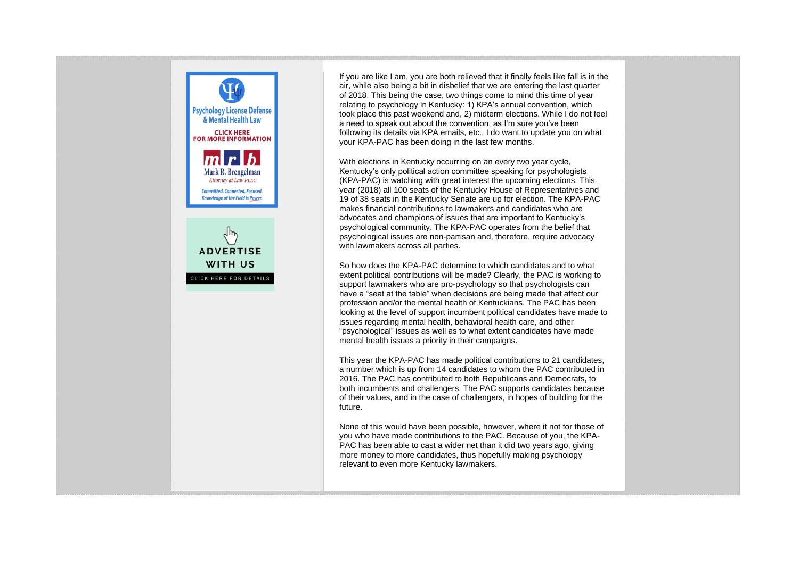

If you are like I am, you are both relieved that it finally feels like fall is in the air, while also being a bit in disbelief that we are entering the last quarter of 2018. This being the case, two things come to mind this time of year relating to psychology in Kentucky: 1) KPA's annual convention, which took place this past weekend and, 2) midterm elections. While I do not feel a need to speak out about the convention, as I'm sure you've been following its details via KPA emails, etc., I do want to update you on what your KPA-PAC has been doing in the last few months.

With elections in Kentucky occurring on an every two year cycle, Kentucky's only political action committee speaking for psychologists (KPA-PAC) is watching with great interest the upcoming elections. This year (2018) all 100 seats of the Kentucky House of Representatives and 19 of 38 seats in the Kentucky Senate are up for election. The KPA-PAC makes financial contributions to lawmakers and candidates who are advocates and champions of issues that are important to Kentucky's psychological community. The KPA-PAC operates from the belief that psychological issues are non-partisan and, therefore, require advocacy with lawmakers across all parties.

So how does the KPA-PAC determine to which candidates and to what extent political contributions will be made? Clearly, the PAC is working to support lawmakers who are pro-psychology so that psychologists can have a "seat at the table" when decisions are being made that affect our profession and/or the mental health of Kentuckians. The PAC has been looking at the level of support incumbent political candidates have made to issues regarding mental health, behavioral health care, and other "psychological" issues as well as to what extent candidates have made mental health issues a priority in their campaigns.

This year the KPA-PAC has made political contributions to 21 candidates, a number which is up from 14 candidates to whom the PAC contributed in 2016. The PAC has contributed to both Republicans and Democrats, to both incumbents and challengers. The PAC supports candidates because of their values, and in the case of challengers, in hopes of building for the future.

None of this would have been possible, however, where it not for those of you who have made contributions to the PAC. Because of you, the KPA-PAC has been able to cast a wider net than it did two years ago, giving more money to more candidates, thus hopefully making psychology relevant to even more Kentucky lawmakers.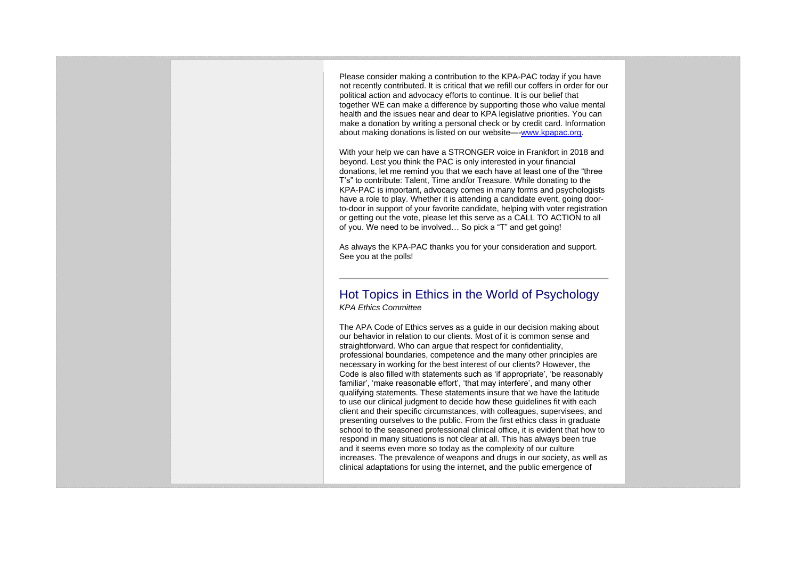Please consider making a contribution to the KPA-PAC today if you have not recently contributed. It is critical that we refill our coffers in order for our political action and advocacy efforts to continue. It is our belief that together WE can make a difference by supporting those who value mental health and the issues near and dear to KPA legislative priorities. You can make a donation by writing a personal check or by credit card. Information about making donations is listed on our website—[-www.kpapac.org.](http://www.kpapac.org/)

With your help we can have a STRONGER voice in Frankfort in 2018 and beyond. Lest you think the PAC is only interested in your financial donations, let me remind you that we each have at least one of the "three T's" to contribute: Talent, Time and/or Treasure. While donating to the KPA-PAC is important, advocacy comes in many forms and psychologists have a role to play. Whether it is attending a candidate event, going doorto-door in support of your favorite candidate, helping with voter registration or getting out the vote, please let this serve as a CALL TO ACTION to all of you. We need to be involved… So pick a "T" and get going!

As always the KPA-PAC thanks you for your consideration and support. See you at the polls!

### Hot Topics in Ethics in the World of Psychology *KPA Ethics Committee*

The APA Code of Ethics serves as a guide in our decision making about our behavior in relation to our clients. Most of it is common sense and straightforward. Who can argue that respect for confidentiality, professional boundaries, competence and the many other principles are necessary in working for the best interest of our clients? However, the Code is also filled with statements such as 'if appropriate', 'be reasonably familiar', 'make reasonable effort', 'that may interfere', and many other qualifying statements. These statements insure that we have the latitude to use our clinical judgment to decide how these guidelines fit with each client and their specific circumstances, with colleagues, supervisees, and presenting ourselves to the public. From the first ethics class in graduate school to the seasoned professional clinical office, it is evident that how to respond in many situations is not clear at all. This has always been true and it seems even more so today as the complexity of our culture increases. The prevalence of weapons and drugs in our society, as well as clinical adaptations for using the internet, and the public emergence of